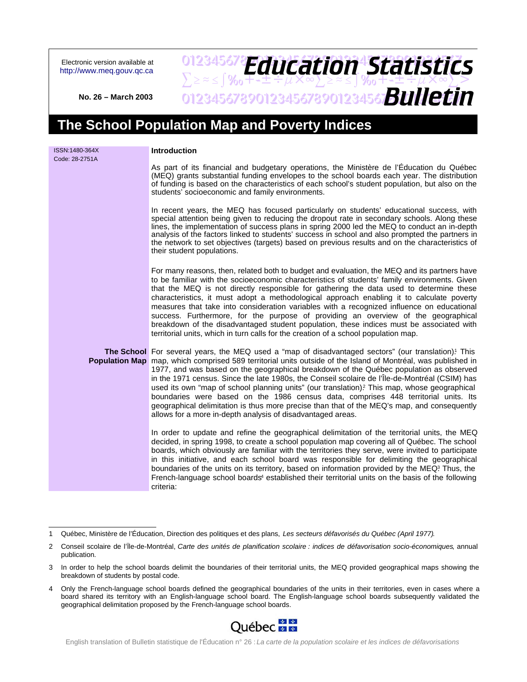Electronic version available at <http://www.meq.gouv.qc.ca>

## 012345678**PH11Fation45fatictir**  $\sum z \approx 5$ % $\sqrt{3}$   $\sqrt{4}$   $\sqrt{4}$   $\sqrt{4}$   $\sqrt{4}$   $\sqrt{2}$   $\approx 1$   $\sqrt{2}$   $\sqrt{2}$   $\approx 1$   $\sqrt{2}$   $\sqrt{2}$   $\sqrt{2}$   $\approx 1$   $\sqrt{2}$   $\sqrt{2}$   $\approx 1$   $\sqrt{2}$   $\sqrt{2}$   $\approx 1$   $\sqrt{2}$   $\sqrt{2}$   $\approx 1$   $\sqrt{2}$   $\sqrt{2}$   $\approx 1$   $\sqrt{2}$   $\$ 0123456789012345678901234567**8UIICTI** *Education Statistics Bulletin*

**No. 26 – March 2003**

# **The School Population Map and Poverty Indices**

| ISSN:1480-364X<br>Code: 28-2751A | <b>Introduction</b>                                                                                                                                                                                                                                                                                                                                                                                                                                                                                                                                                                                                                                                                                                                                                         |
|----------------------------------|-----------------------------------------------------------------------------------------------------------------------------------------------------------------------------------------------------------------------------------------------------------------------------------------------------------------------------------------------------------------------------------------------------------------------------------------------------------------------------------------------------------------------------------------------------------------------------------------------------------------------------------------------------------------------------------------------------------------------------------------------------------------------------|
|                                  | As part of its financial and budgetary operations, the Ministère de l'Éducation du Québec<br>(MEQ) grants substantial funding envelopes to the school boards each year. The distribution<br>of funding is based on the characteristics of each school's student population, but also on the<br>students' socioeconomic and family environments.                                                                                                                                                                                                                                                                                                                                                                                                                             |
|                                  | In recent years, the MEQ has focused particularly on students' educational success, with<br>special attention being given to reducing the dropout rate in secondary schools. Along these<br>lines, the implementation of success plans in spring 2000 led the MEQ to conduct an in-depth<br>analysis of the factors linked to students' success in school and also prompted the partners in<br>the network to set objectives (targets) based on previous results and on the characteristics of<br>their student populations.                                                                                                                                                                                                                                                |
|                                  | For many reasons, then, related both to budget and evaluation, the MEQ and its partners have<br>to be familiar with the socioeconomic characteristics of students' family environments. Given<br>that the MEQ is not directly responsible for gathering the data used to determine these<br>characteristics, it must adopt a methodological approach enabling it to calculate poverty<br>measures that take into consideration variables with a recognized influence on educational<br>success. Furthermore, for the purpose of providing an overview of the geographical<br>breakdown of the disadvantaged student population, these indices must be associated with<br>territorial units, which in turn calls for the creation of a school population map.                |
|                                  | <b>The School</b> For several years, the MEQ used a "map of disadvantaged sectors" (our translation)! This<br>Population Map map, which comprised 589 territorial units outside of the Island of Montréal, was published in<br>1977, and was based on the geographical breakdown of the Québec population as observed<br>in the 1971 census. Since the late 1980s, the Conseil scolaire de l'Île-de-Montréal (CSIM) has<br>used its own "map of school planning units" (our translation)? This map, whose geographical<br>boundaries were based on the 1986 census data, comprises 448 territorial units. Its<br>geographical delimitation is thus more precise than that of the MEQ's map, and consequently<br>allows for a more in-depth analysis of disadvantaged areas. |
|                                  | In order to update and refine the geographical delimitation of the territorial units, the MEQ<br>decided, in spring 1998, to create a school population map covering all of Québec. The school<br>boards, which obviously are familiar with the territories they serve, were invited to participate<br>in this initiative, and each school board was responsible for delimiting the geographical<br>boundaries of the units on its territory, based on information provided by the MEQ? Thus, the<br>French-language school boards <sup>4</sup> established their territorial units on the basis of the following<br>criteria:                                                                                                                                              |

<sup>4</sup> Only the French-language school boards defined the geographical boundaries of the units in their territories, even in cases where a board shared its territory with an English-language school board. The English-language school boards subsequently validated the geographical delimitation proposed by the French-language school boards.



English translation of Bulletin statistique de l'Éducation n° 26 : La carte de la population scolaire et les indices de défavorisations

<sup>1</sup> Québec, Ministère de l'Éducation, Direction des politiques et des plans, Les secteurs défavorisés du Québec (April 1977).

<sup>2</sup> Conseil scolaire de l'Île-de-Montréal, Carte des unités de planification scolaire : indices de défavorisation socio-économiques, annual publication.

<sup>3</sup> In order to help the school boards delimit the boundaries of their territorial units, the MEQ provided geographical maps showing the breakdown of students by postal code.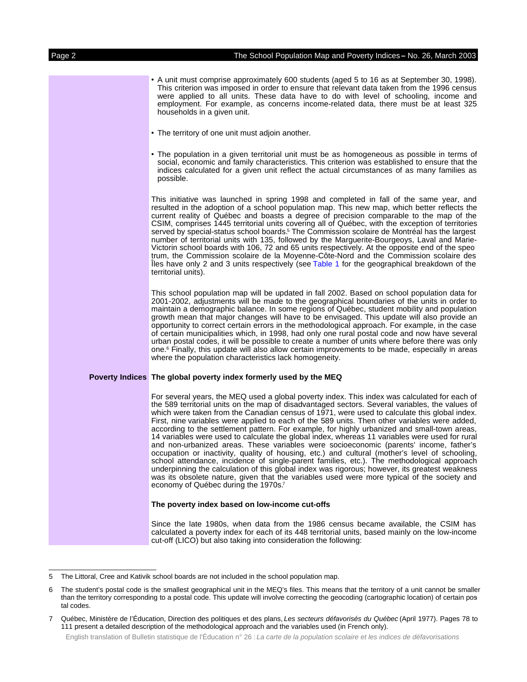• A unit must comprise approximately 600 students (aged 5 to 16 as at September 30, 1998). This criterion was imposed in order to ensure that relevant data taken from the 1996 census were applied to all units. These data have to do with level of schooling, income and employment. For example, as concerns income-related data, there must be at least 325 households in a given unit. • The territory of one unit must adjoin another. • The population in a given territorial unit must be as homogeneous as possible in terms of social, economic and family characteristics. This criterion was established to ensure that the indices calculated for a given unit reflect the actual circumstances of as many families as possible. This initiative was launched in spring 1998 and completed in fall of the same year, and resulted in the adoption of a school population map. This new map, which better reflects the current reality of Québec and boasts a degree of precision comparable to the map of the CSIM, comprises 1445 territorial units covering all of Québec, with the exception of territories served by special-status school boards.<sup>5</sup> The Commission scolaire de Montréal has the largest number of territorial units with 135, followed by the Marguerite-Bourgeoys, Laval and Marie-Victorin school boards with 106, 72 and 65 units respectively. At the opposite end of the spectrum, the Commission scolaire de la Moyenne-Côte-Nord and the Commission scolaire des Îles have only 2 and 3 units respectively (see [Table](#page-5-0) 1 for the geographical breakdown of the territorial units). This school population map will be updated in fall 2002. Based on school population data for 2001-2002, adjustments will be made to the geographical boundaries of the units in order to maintain a demographic balance. In some regions of Québec, student mobility and population growth mean that major changes will have to be envisaged. This update will also provide an opportunity to correct certain errors in the methodological approach. For example, in the case of certain municipalities which, in 1998, had only one rural postal code and now have several urban postal codes, it will be possible to create a number of units where before there was only one. <sup>6</sup> Finally, this update will also allow certain improvements to be made, especially in areas where the population characteristics lack homogeneity. **Poverty Indices The global poverty index formerly used by the MEQ** For several years, the MEQ used a global poverty index. This index was calculated for each of the 589 territorial units on the map of disadvantaged sectors. Several variables, the values of which were taken from the Canadian census of 1971, were used to calculate this global index. First, nine variables were applied to each of the 589 units. Then other variables were added, according to the settlement pattern. For example, for highly urbanized and small-town areas, 14 variables were used to calculate the global index, whereas 11 variables were used for rural and non-urbanized areas. These variables were socioeconomic (parents' income, father's occupation or inactivity, quality of housing, etc.) and cultural (mother's level of schooling, school attendance, incidence of single-parent families, etc.). The methodological approach underpinning the calculation of this global index was rigorous; however, its greatest weakness was its obsolete nature, given that the variables used were more typical of the society and economy of Québec during the 1970s.<sup>7</sup> **The poverty index based on low-income cut-offs**

Since the late 1980s, when data from the 1986 census became available, the CSIM has calculated a poverty index for each of its 448 territorial units, based mainly on the low-income cut-off (LICO) but also taking into consideration the following:

English translation of Bulletin statistique de l'Éducation n° 26 : La carte de la population scolaire et les indices de défavorisations

<sup>5</sup> The Littoral, Cree and Kativik school boards are not included in the school population map.

<sup>6</sup> The student's postal code is the smallest geographical unit in the MEQ's files. This means that the territory of a unit cannot be smaller than the territory corresponding to a postal code. This update will involve correcting the geocoding (cartographic location) of certain postal codes.

<sup>7</sup> Québec, Ministère de l'Éducation, Direction des politiques et des plans, Les secteurs défavorisés du Québec (April 1977). Pages 78 to 111 present a detailed description of the methodological approach and the variables used (in French only).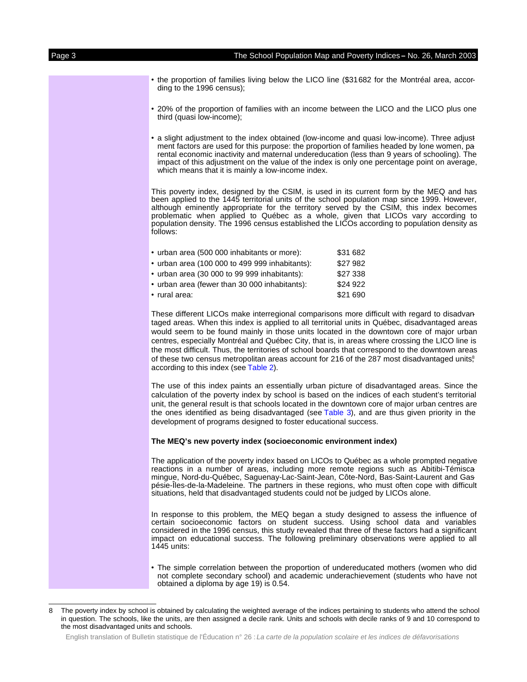- the proportion of families living below the LICO line (\$31682 for the Montréal area, according to the 1996 census);
- 20% of the proportion of families with an income between the LICO and the LICO plus one third (quasi low-income);
- a slight adjustment to the index obtained (low-income and quasi low-income). Three adjustment factors are used for this purpose: the proportion of families headed by lone women, parental economic inactivity and maternal undereducation (less than 9 years of schooling). The impact of this adjustment on the value of the index is only one percentage point on average, which means that it is mainly a low-income index.

This poverty index, designed by the CSIM, is used in its current form by the MEQ and has been applied to the 1445 territorial units of the school population map since 1999. However, although eminently appropriate for the territory served by the CSIM, this index becomes problematic when applied to Québec as a whole, given that LICOs vary according to population density. The 1996 census established the LICOs according to population density as follows:

| • urban area (500 000 inhabitants or more):    | \$31 682 |
|------------------------------------------------|----------|
| • urban area (100 000 to 499 999 inhabitants): | \$27982  |
| • urban area (30 000 to 99 999 inhabitants):   | \$27 338 |
| • urban area (fewer than 30 000 inhabitants):  | \$24 922 |
| $\cdot$ rural area:                            | \$21 690 |

These different LICOs make interregional comparisons more difficult with regard to disadvantaged areas. When this index is applied to all territorial units in Québec, disadvantaged areas would seem to be found mainly in those units located in the downtown core of major urban centres, especially Montréal and Québec City, that is, in areas where crossing the LICO line is the most difficult. Thus, the territories of school boards that correspond to the downtown areas of these two census metropolitan areas account for 216 of the 287 most disadvantaged units,<sup>8</sup> according to this index (see [Table](#page-6-0) 2).

The use of this index paints an essentially urban picture of disadvantaged areas. Since the calculation of the poverty index by school is based on the indices of each student's territorial unit, the general result is that schools located in the downtown core of major urban centres are the ones identified as being disadvantaged (see [Table](#page-7-0) 3), and are thus given priority in the development of programs designed to foster educational success.

### **The MEQ's new poverty index (socioeconomic environment index)**

The application of the poverty index based on LICOs to Québec as a whole prompted negative reactions in a number of areas, including more remote regions such as Abitibi-Témiscamingue, Nord-du-Québec, Saguenay-Lac-Saint-Jean, Côte-Nord, Bas-Saint-Laurent and Gaspésie-Îles-de-la-Madeleine. The partners in these regions, who must often cope with difficult situations, held that disadvantaged students could not be judged by LICOs alone.

In response to this problem, the MEQ began a study designed to assess the influence of certain socioeconomic factors on student success. Using school data and variables considered in the 1996 census, this study revealed that three of these factors had a significant impact on educational success. The following preliminary observations were applied to all 1445 units:

• The simple correlation between the proportion of undereducated mothers (women who did not complete secondary school) and academic underachievement (students who have not obtained a diploma by age 19) is 0.54.

English translation of Bulletin statistique de l'Éducation n° 26 : La carte de la population scolaire et les indices de défavorisations

<sup>8</sup> The poverty index by school is obtained by calculating the weighted average of the indices pertaining to students who attend the school in question. The schools, like the units, are then assigned a decile rank. Units and schools with decile ranks of 9 and 10 correspond to the most disadvantaged units and schools.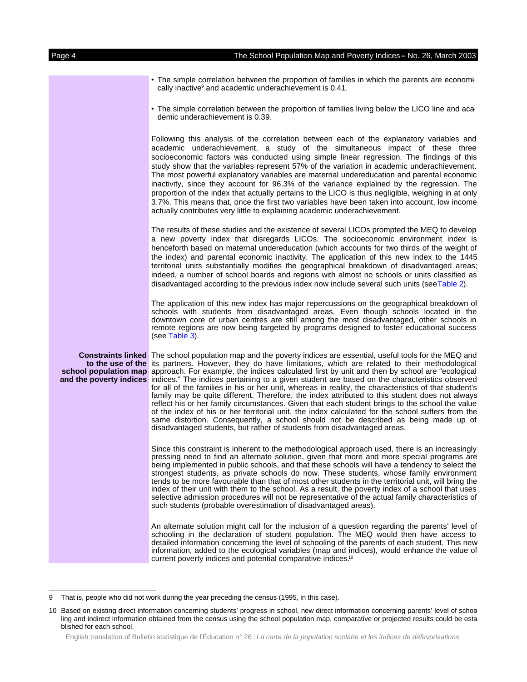The simple correlation between the proportion of families in which the parents are economically inactive<sup>9</sup> and academic underachievement is 0.41.

• The simple correlation between the proportion of families living below the LICO line and academic underachievement is 0.39.

Following this analysis of the correlation between each of the explanatory variables and academic underachievement, a study of the simultaneous impact of these three socioeconomic factors was conducted using simple linear regression. The findings of this study show that the variables represent 57% of the variation in academic underachievement. The most powerful explanatory variables are maternal undereducation and parental economic inactivity, since they account for 96.3% of the variance explained by the regression. The proportion of the index that actually pertains to the LICO is thus negligible, weighing in at only 3.7%. This means that, once the first two variables have been taken into account, low income actually contributes very little to explaining academic underachievement.

The results of these studies and the existence of several LICOs prompted the MEQ to develop a new poverty index that disregards LICOs. The socioeconomic environment index is henceforth based on maternal undereducation (which accounts for two thirds of the weight of the index) and parental economic inactivity. The application of this new index to the 1445 territorial units substantially modifies the geographical breakdown of disadvantaged areas; indeed, a number of school boards and regions with almost no schools or units classified as disadvantaged according to the previous index now include several such units (se[eTable](#page-6-0) 2).

The application of this new index has major repercussions on the geographical breakdown of schools with students from disadvantaged areas. Even though schools located in the downtown core of urban centres are still among the most disadvantaged, other schools in remote regions are now being targeted by programs designed to foster educational success (see [Table](#page-7-0) 3).

**Constraints linked** The school population map and the poverty indices are essential, useful tools for the MEQ and **to the use of the** its partners. However, they do have limitations, which are related to their methodological school population map approach. For example, the indices calculated first by unit and then by school are "ecological and the poverty indices indices." The indices pertaining to a given student are based on the characteristics observed for all of the families in his or her unit, whereas in reality, the characteristics of that student's family may be quite different. Therefore, the index attributed to this student does not always reflect his or her family circumstances. Given that each student brings to the school the value of the index of his or her territorial unit, the index calculated for the school suffers from the same distortion. Consequently, a school should not be described as being made up of disadvantaged students, but rather of students from disadvantaged areas.

> Since this constraint is inherent to the methodological approach used, there is an increasingly pressing need to find an alternate solution, given that more and more special programs are being implemented in public schools, and that these schools will have a tendency to select the strongest students, as private schools do now. These students, whose family environment tends to be more favourable than that of most other students in the territorial unit, will bring the index of their unit with them to the school. As a result, the poverty index of a school that uses selective admission procedures will not be representative of the actual family characteristics of such students (probable overestimation of disadvantaged areas).

> An alternate solution might call for the inclusion of a question regarding the parents' level of schooling in the declaration of student population. The MEQ would then have access to detailed information concerning the level of schooling of the parents of each student. This new information, added to the ecological variables (map and indices), would enhance the value of current poverty indices and potential comparative indices.<sup>10</sup>

That is, people who did not work during the year preceding the census (1995, in this case).

<sup>10</sup> Based on existing direct information concerning students' progress in school, new direct information concerning parents' level of schooling and indirect information obtained from the census using the school population map, comparative or projected results could be established for each school.

English translation of Bulletin statistique de l'Éducation n° 26 : La carte de la population scolaire et les indices de défavorisations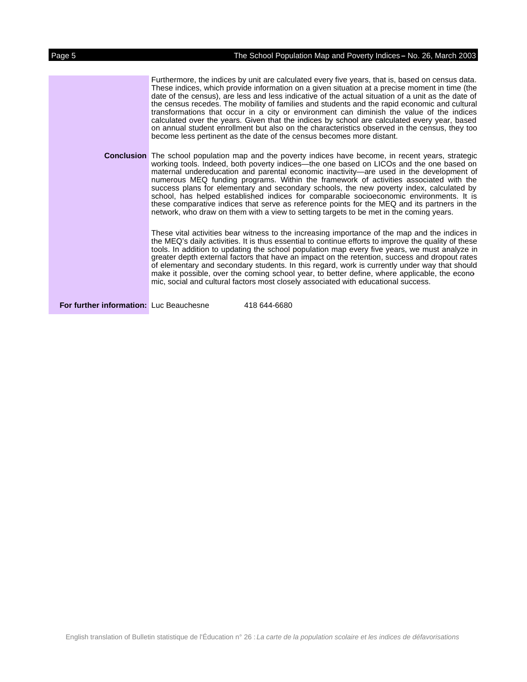Furthermore, the indices by unit are calculated every five years, that is, based on census data. These indices, which provide information on a given situation at a precise moment in time (the date of the census), are less and less indicative of the actual situation of a unit as the date of the census recedes. The mobility of families and students and the rapid economic and cultural transformations that occur in a city or environment can diminish the value of the indices calculated over the years. Given that the indices by school are calculated every year, based on annual student enrollment but also on the characteristics observed in the census, they too become less pertinent as the date of the census becomes more distant.

**Conclusion** The school population map and the poverty indices have become, in recent years, strategic working tools. Indeed, both poverty indices—the one based on LICOs and the one based on maternal undereducation and parental economic inactivity—are used in the development of numerous MEQ funding programs. Within the framework of activities associated with the success plans for elementary and secondary schools, the new poverty index, calculated by school, has helped established indices for comparable socioeconomic environments. It is these comparative indices that serve as reference points for the MEQ and its partners in the network, who draw on them with a view to setting targets to be met in the coming years.

> These vital activities bear witness to the increasing importance of the map and the indices in the MEQ's daily activities. It is thus essential to continue efforts to improve the quality of these tools. In addition to updating the school population map every five years, we must analyze in greater depth external factors that have an impact on the retention, success and dropout rates of elementary and secondary students. In this regard, work is currently under way that should make it possible, over the coming school year, to better define, where applicable, the economic, social and cultural factors most closely associated with educational success.

**For further information:** Luc Beauchesne 418 644-6680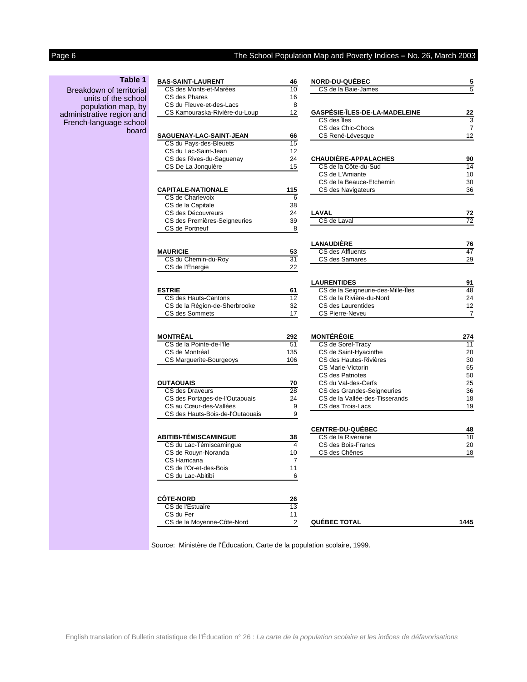# <span id="page-5-0"></span>Page 6 The School Population Map and Poverty Indices - No. 26, March 2003

### **Table 1**

Breakdown of territorial units of the school population map, by administrative region and French-language school board

| <b>BAS-SAINT-LAURENT</b>         | 46              |
|----------------------------------|-----------------|
| CS des Monts-et-Marées           | 10              |
| CS des Phares                    | 16              |
| CS du Fleuve-et-des-Lacs         | 8               |
| CS Kamouraska-Rivière-du-Loup    | 12              |
|                                  |                 |
|                                  |                 |
| SAGUENAY-LAC-SAINT-JEAN          | 66              |
| CS du Pays-des-Bleuets           | 15              |
| CS du Lac-Saint-Jean             | 12              |
| CS des Rives-du-Saguenay         | 24              |
| CS De La Jonquière               | 15              |
|                                  |                 |
| CAPITALE-NATIONALE               | 115             |
| CS de Charlevoix                 | 6               |
| CS de la Capitale                | 38              |
| CS des Découvreurs               | 24              |
| CS des Premières-Seigneuries     | 39              |
| CS de Portneuf                   | 8               |
|                                  |                 |
| <b>MAURICIE</b>                  | 53              |
| CS du Chemin-du-Roy              | $\overline{31}$ |
| CS de l'Énergie                  | 22              |
|                                  |                 |
| <b>ESTRIE</b>                    | 61              |
| CS des Hauts-Cantons             | $\overline{12}$ |
| CS de la Région-de-Sherbrooke    | 32              |
| CS des Sommets                   | 17              |
|                                  |                 |
|                                  |                 |
| MONTRÉAL                         | 292             |
| CS de la Pointe-de-l'Île         | 51              |
| CS de Montréal                   | 135             |
| CS Marguerite-Bourgeoys          | 106             |
|                                  |                 |
| <b>OUTAOUAIS</b>                 | 70              |
| <b>CS des Draveurs</b>           | 28              |
| CS des Portages-de-l'Outaouais   | 24              |
| CS au Cœur-des-Vallées           | 9               |
| CS des Hauts-Bois-de-l'Outaouais | 9               |
|                                  |                 |
| ABITIBI-TÉMISCAMINGUE            | 38              |
| CS du Lac-Témiscamingue          | 4               |
| CS de Rouyn-Noranda              | 10              |
| CS Harricana                     | 7               |
| CS de l'Or-et-des-Bois           | 11              |
| CS du Lac-Abitibi                | 6               |
|                                  |                 |
| <b>CÔTE-NORD</b>                 | 26              |
| CS de l'Estuaire                 | $\overline{13}$ |
| CS du Fer                        | 11              |
| CS de la Moyenne-Côte-Nord       | 2               |
|                                  |                 |

| <b>BAS-SAINT-LAURENT</b>                       | 46              | <b>NORD-DU-QUÉBEC</b>                              | 5               |
|------------------------------------------------|-----------------|----------------------------------------------------|-----------------|
| CS des Monts-et-Marées                         | 10              | CS de la Baie-James                                | 5               |
| CS des Phares                                  | 16              |                                                    |                 |
| CS du Fleuve-et-des-Lacs                       | 8               |                                                    |                 |
| CS Kamouraska-Rivière-du-Loup                  | 12              | GASPÉSIE-ÎLES-DE-LA-MADELEINE<br>CS des Îles       | 22              |
|                                                |                 | CS des Chic-Chocs                                  | 3<br>7          |
| <b>SAGUENAY-LAC-SAINT-JEAN</b>                 | 66              | CS René-Lévesque                                   | 12              |
| CS du Pays-des-Bleuets                         | 15              |                                                    |                 |
| CS du Lac-Saint-Jean                           | 12              |                                                    |                 |
| CS des Rives-du-Saguenay                       | 24              | <b>CHAUDIÈRE-APPALACHES</b>                        | 90              |
| CS De La Jonquière                             | 15              | CS de la Côte-du-Sud                               | 14              |
|                                                |                 | CS de L'Amiante                                    | 10              |
|                                                |                 | CS de la Beauce-Etchemin                           | 30              |
| <b>CAPITALE-NATIONALE</b>                      | 115             | CS des Navigateurs                                 | 36              |
| CS de Charlevoix                               | 6               |                                                    |                 |
| CS de la Capitale                              | 38              |                                                    |                 |
| CS des Découvreurs                             | 24              | LAVAL                                              | 72              |
| CS des Premières-Seigneuries<br>CS de Portneuf | 39<br>8         | CS de Laval                                        | $\overline{72}$ |
|                                                |                 |                                                    |                 |
|                                                |                 | <b>LANAUDIÈRE</b>                                  | 76              |
| <b>MAURICIE</b>                                | 53              | CS des Affluents                                   | 47              |
| CS du Chemin-du-Roy                            | $\overline{31}$ | CS des Samares                                     | 29              |
| CS de l'Énergie                                | 22              |                                                    |                 |
|                                                |                 |                                                    |                 |
|                                                |                 | <b>LAURENTIDES</b>                                 | 91              |
| <b>ESTRIE</b>                                  | 61              | CS de la Seigneurie-des-Mille-Îles                 | 48              |
| CS des Hauts-Cantons                           | 12              | CS de la Rivière-du-Nord                           | 24              |
| CS de la Région-de-Sherbrooke                  | 32              | CS des Laurentides                                 | 12              |
| CS des Sommets                                 | 17              | <b>CS Pierre-Neveu</b>                             | 7               |
|                                                |                 |                                                    |                 |
| MONTRÉAL                                       | 292             | <b>MONTÉRÉGIE</b>                                  | 274             |
| CS de la Pointe-de-l'Île                       | 51              | CS de Sorel-Tracy                                  | 11              |
| CS de Montréal                                 | 135             | CS de Saint-Hyacinthe                              | 20              |
| CS Marguerite-Bourgeoys                        | 106             | CS des Hautes-Rivières<br><b>CS Marie-Victorin</b> | 30<br>65        |
|                                                |                 | CS des Patriotes                                   | 50              |
| OUTAOUAIS                                      | 70              | CS du Val-des-Cerfs                                | 25              |
| CS des Draveurs                                | 28              | CS des Grandes-Seigneuries                         | 36              |
| CS des Portages-de-l'Outaouais                 | 24              | CS de la Vallée-des-Tisserands                     | 18              |
| CS au Cœur-des-Vallées                         | 9               | CS des Trois-Lacs                                  | 19              |
| CS des Hauts-Bois-de-l'Outaouais               | 9               |                                                    |                 |
|                                                |                 | CENTRE-DU-QUÉBEC                                   | 48              |
| ABITIBI-TÉMISCAMINGUE                          | 38              | CS de la Riveraine                                 | 10              |
| CS du Lac-Témiscamingue                        | 4               | CS des Bois-Francs                                 | 20              |
| CS de Rouyn-Noranda                            | 10              | CS des Chênes                                      | 18              |
| CS Harricana                                   | 7               |                                                    |                 |
|                                                | 11              |                                                    |                 |
| CS de l'Or-et-des-Bois                         |                 |                                                    |                 |
| CS du Lac-Abitibi                              | 6               |                                                    |                 |
|                                                |                 |                                                    |                 |
| <b>CÔTE-NORD</b>                               | 26              |                                                    |                 |
| CS de l'Estuaire                               | 13              |                                                    |                 |
| CS du Fer<br>CS de la Moyenne-Côte-Nord        | 11<br>2         | <b>QUÉBEC TOTAL</b>                                | 1445            |

Source: Ministère de l'Éducation, Carte de la population scolaire, 1999.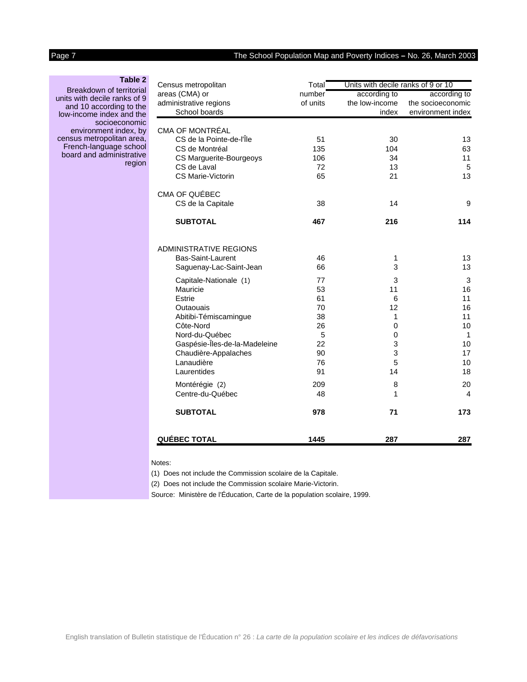### The School Population Map and Poverty Indices - No. 26, March 2003

<span id="page-6-0"></span>

| :T<br>١ |  |  |
|---------|--|--|
|---------|--|--|

| <b>Table 2</b>                                           | Census metropolitan<br>Total  |          |                | Units with decile ranks of 9 or 10 |  |
|----------------------------------------------------------|-------------------------------|----------|----------------|------------------------------------|--|
| Breakdown of territorial<br>units with decile ranks of 9 | areas (CMA) or                | number   | according to   | according to                       |  |
| and 10 according to the                                  | administrative regions        | of units | the low-income | the socioeconomic                  |  |
| low-income index and the                                 | School boards                 |          | index          | environment index                  |  |
| socioeconomic<br>environment index, by                   | <b>CMA OF MONTRÉAL</b>        |          |                |                                    |  |
| census metropolitan area,                                | CS de la Pointe-de-l'Île      | 51       | 30             | 13                                 |  |
| French-language school                                   | CS de Montréal                | 135      | 104            | 63                                 |  |
| board and administrative                                 | CS Marguerite-Bourgeoys       | 106      | 34             | 11                                 |  |
| region                                                   | CS de Laval                   | 72       | 13             | 5                                  |  |
|                                                          | CS Marie-Victorin             | 65       | 21             | 13                                 |  |
|                                                          | CMA OF QUÉBEC                 |          |                |                                    |  |
|                                                          | CS de la Capitale             | 38       | 14             | 9                                  |  |
|                                                          | <b>SUBTOTAL</b>               | 467      | 216            | 114                                |  |
|                                                          | ADMINISTRATIVE REGIONS        |          |                |                                    |  |
|                                                          | Bas-Saint-Laurent             | 46       | 1              | 13                                 |  |
|                                                          | Saguenay-Lac-Saint-Jean       | 66       | 3              | 13                                 |  |
|                                                          | Capitale-Nationale (1)        | 77       | 3              | $\ensuremath{\mathsf{3}}$          |  |
|                                                          | Mauricie                      | 53       | 11             | 16                                 |  |
|                                                          | Estrie                        | 61       | 6              | 11                                 |  |
|                                                          | Outaouais                     | 70       | 12             | 16                                 |  |
|                                                          | Abitibi-Témiscamingue         | 38       | 1              | 11                                 |  |
|                                                          | Côte-Nord                     | 26       | 0              | 10                                 |  |
|                                                          | Nord-du-Québec                | 5        | 0              | $\mathbf 1$                        |  |
|                                                          | Gaspésie-Îles-de-la-Madeleine | 22       | 3              | 10                                 |  |
|                                                          | Chaudière-Appalaches          | 90       | 3              | 17                                 |  |
|                                                          | Lanaudière                    | 76       | 5              | 10                                 |  |
|                                                          | Laurentides                   | 91       | 14             | 18                                 |  |
|                                                          | Montérégie (2)                | 209      | 8              | 20                                 |  |
|                                                          | Centre-du-Québec              | 48       | 1              | 4                                  |  |
|                                                          | <b>SUBTOTAL</b>               | 978      | 71             | 173                                |  |
|                                                          | <b>QUÉBEC TOTAL</b>           | 1445     | 287            | 287                                |  |

Notes:

(1) Does not include the Commission scolaire de la Capitale.

(2) Does not include the Commission scolaire Marie-Victorin.

Source: Ministère de l'Éducation, Carte de la population scolaire, 1999.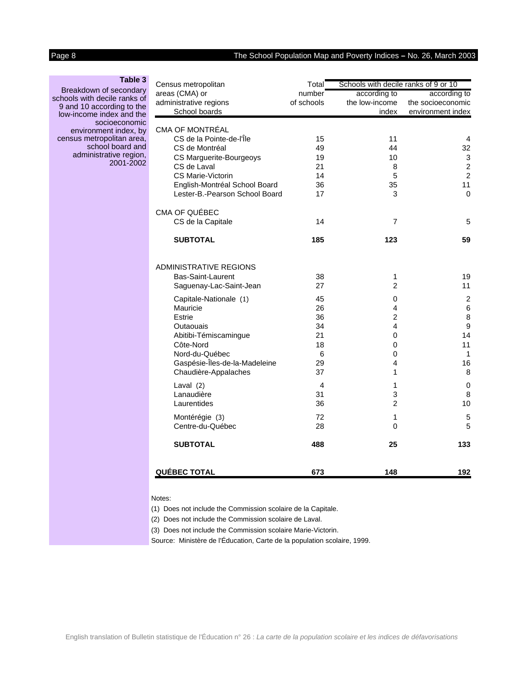# <span id="page-7-0"></span>Page 8 The School Population Map and Poverty Indices **–** No. 26, March 2003

| Table 3                      |
|------------------------------|
| Breakdown of secondary       |
| schools with decile ranks of |
| 9 and 10 according to the    |
| low-income index and the     |
| socioeconomic                |
| environment index, by        |
| census metropolitan area.    |
| school board and             |
| administrative region,       |
| 2001-2002                    |

| Census metropolitan                                | Total      | Schools with decile ranks of 9 or 10 |                     |  |
|----------------------------------------------------|------------|--------------------------------------|---------------------|--|
| areas (CMA) or                                     | number     | according to                         | according to        |  |
| administrative regions                             | of schools | the low-income                       | the socioeconomic   |  |
| School boards                                      |            | index                                | environment index   |  |
|                                                    |            |                                      |                     |  |
| <b>CMA OF MONTRÉAL</b><br>CS de la Pointe-de-l'Île |            |                                      |                     |  |
| CS de Montréal                                     | 15<br>49   | 11<br>44                             | 4<br>32             |  |
| CS Marguerite-Bourgeoys                            | 19         | 10                                   | $\sqrt{3}$          |  |
| CS de Laval                                        | 21         | 8                                    | $\overline{c}$      |  |
| <b>CS Marie-Victorin</b>                           | 14         | 5                                    | $\overline{2}$      |  |
| English-Montréal School Board                      | 36         | 35                                   | 11                  |  |
| Lester-B.-Pearson School Board                     | 17         | 3                                    | 0                   |  |
|                                                    |            |                                      |                     |  |
| CMA OF QUÉBEC                                      |            |                                      |                     |  |
| CS de la Capitale                                  | 14         | 7                                    | 5                   |  |
| <b>SUBTOTAL</b>                                    | 185        | 123                                  | 59                  |  |
| <b>ADMINISTRATIVE REGIONS</b>                      |            |                                      |                     |  |
| Bas-Saint-Laurent                                  | 38         | $\mathbf 1$                          | 19                  |  |
| Saguenay-Lac-Saint-Jean                            | 27         | $\overline{2}$                       | 11                  |  |
|                                                    | 45         |                                      |                     |  |
| Capitale-Nationale (1)<br>Mauricie                 | 26         | 0<br>4                               | $\overline{c}$<br>6 |  |
| Estrie                                             | 36         | $\overline{c}$                       | 8                   |  |
| Outaouais                                          | 34         | 4                                    | 9                   |  |
| Abitibi-Témiscamingue                              | 21         | 0                                    | 14                  |  |
| Côte-Nord                                          | 18         | 0                                    | 11                  |  |
| Nord-du-Québec                                     | 6          | 0                                    | 1                   |  |
| Gaspésie-Îles-de-la-Madeleine                      | 29         | 4                                    | 16                  |  |
| Chaudière-Appalaches                               | 37         | 1                                    | 8                   |  |
| Laval (2)                                          | 4          | 1                                    | $\mathbf 0$         |  |
| Lanaudière                                         | 31         | 3                                    | 8                   |  |
| Laurentides                                        | 36         | $\overline{c}$                       | 10                  |  |
| Montérégie (3)                                     | 72         | $\mathbf{1}$                         | 5                   |  |
| Centre-du-Québec                                   | 28         | $\mathbf 0$                          | 5                   |  |
| <b>SUBTOTAL</b>                                    | 488        | 25                                   | 133                 |  |
| <b>QUÉBEC TOTAL</b>                                | 673        | 148                                  | 192                 |  |

Notes:

(1) Does not include the Commission scolaire de la Capitale.

(2) Does not include the Commission scolaire de Laval.

(3) Does not include the Commission scolaire Marie-Victorin.

Source: Ministère de l'Éducation, Carte de la population scolaire, 1999.